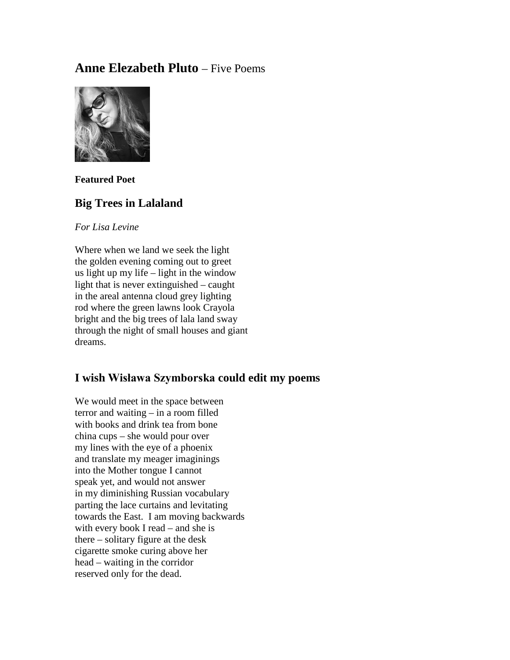# **Anne Elezabeth Pluto** – Five Poems



**Featured Poet**

## **Big Trees in Lalaland**

*For Lisa Levine*

Where when we land we seek the light the golden evening coming out to greet us light up my life – light in the window light that is never extinguished – caught in the areal antenna cloud grey lighting rod where the green lawns look Crayola bright and the big trees of lala land sway through the night of small houses and giant dreams.

## **I wish Wisława Szymborska could edit my poems**

We would meet in the space between terror and waiting – in a room filled with books and drink tea from bone china cups – she would pour over my lines with the eye of a phoenix and translate my meager imaginings into the Mother tongue I cannot speak yet, and would not answer in my diminishing Russian vocabulary parting the lace curtains and levitating towards the East. I am moving backwards with every book I read – and she is there – solitary figure at the desk cigarette smoke curing above her head – waiting in the corridor reserved only for the dead.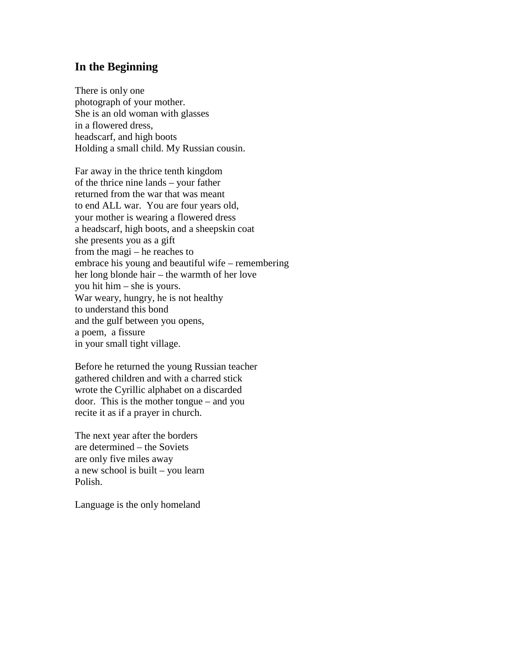#### **In the Beginning**

There is only one photograph of your mother. She is an old woman with glasses in a flowered dress, headscarf, and high boots Holding a small child. My Russian cousin.

Far away in the thrice tenth kingdom of the thrice nine lands – your father returned from the war that was meant to end ALL war. You are four years old, your mother is wearing a flowered dress a headscarf, high boots, and a sheepskin coat she presents you as a gift from the magi – he reaches to embrace his young and beautiful wife – remembering her long blonde hair – the warmth of her love you hit him – she is yours. War weary, hungry, he is not healthy to understand this bond and the gulf between you opens, a poem, a fissure in your small tight village.

Before he returned the young Russian teacher gathered children and with a charred stick wrote the Cyrillic alphabet on a discarded door. This is the mother tongue – and you recite it as if a prayer in church.

The next year after the borders are determined – the Soviets are only five miles away a new school is built – you learn Polish.

Language is the only homeland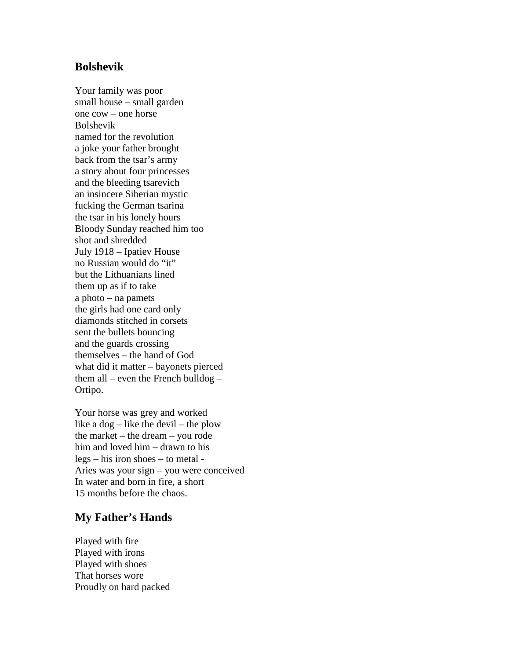#### **Bolshevik**

Your family was poor small house – small garden one cow – one horse Bolshevik named for the revolution a joke your father brought back from the tsar's army a story about four princesses and the bleeding tsarevich an insincere Siberian mystic fucking the German tsarina the tsar in his lonely hours Bloody Sunday reached him too shot and shredded July 1918 – Ipatiev House no Russian would do "it" but the Lithuanians lined them up as if to take a photo – na pamets the girls had one card only diamonds stitched in corsets sent the bullets bouncing and the guards crossing themselves – the hand of God what did it matter – bayonets pierced them all – even the French bulldog – Ortipo.

Your horse was grey and worked like a  $\log -$  like the devil – the plow the market – the dream – you rode him and loved him – drawn to his legs – his iron shoes – to metal - Aries was your sign – you were conceived In water and born in fire, a short 15 months before the chaos.

### **My Father's Hands**

Played with fire Played with irons Played with shoes That horses wore Proudly on hard packed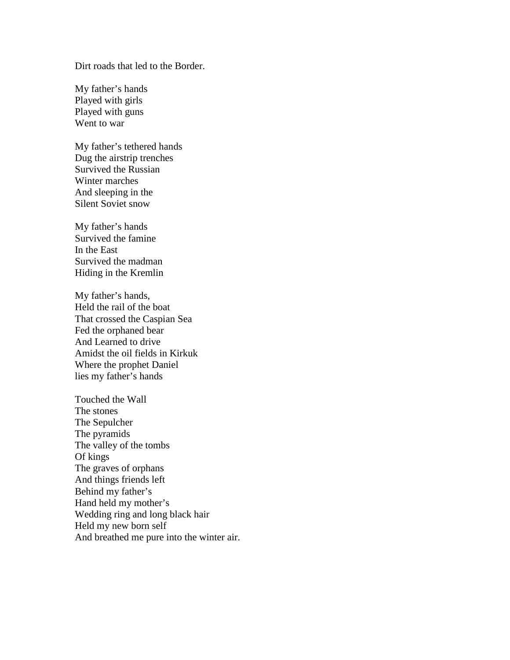Dirt roads that led to the Border.

My father's hands Played with girls Played with guns Went to war

My father's tethered hands Dug the airstrip trenches Survived the Russian Winter marches And sleeping in the Silent Soviet snow

My father's hands Survived the famine In the East Survived the madman Hiding in the Kremlin

My father's hands, Held the rail of the boat That crossed the Caspian Sea Fed the orphaned bear And Learned to drive Amidst the oil fields in Kirkuk Where the prophet Daniel lies my father's hands

Touched the Wall The stones The Sepulcher The pyramids The valley of the tombs Of kings The graves of orphans And things friends left Behind my father's Hand held my mother's Wedding ring and long black hair Held my new born self And breathed me pure into the winter air.